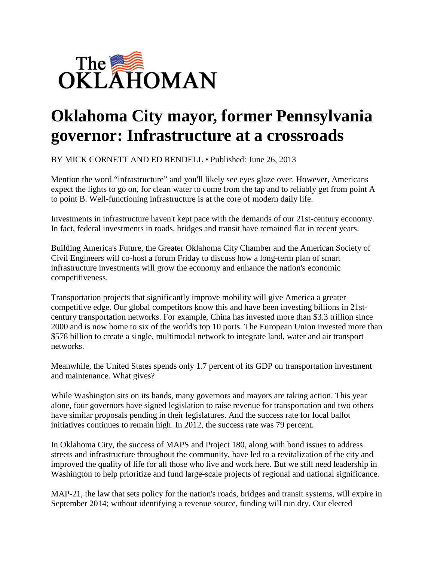

## **Oklahoma City mayor, former Pennsylvania governor: Infrastructure at a crossroads**

BY MICK CORNETT AND ED RENDELL • Published: June 26, 2013

Mention the word "infrastructure" and you'll likely see eyes glaze over. However, Americans expect the lights to go on, for clean water to come from the tap and to reliably get from point A to point B. Well-functioning infrastructure is at the core of modern daily life.

Investments in infrastructure haven't kept pace with the demands of our 21st-century economy. In fact, federal investments in roads, bridges and transit have remained flat in recent years.

Building America's Future, the Greater Oklahoma City Chamber and the American Society of Civil Engineers will co-host a forum Friday to discuss how a long-term plan of smart infrastructure investments will grow the economy and enhance the nation's economic competitiveness.

Transportation projects that significantly improve mobility will give America a greater competitive edge. Our global competitors know this and have been investing billions in 21stcentury transportation networks. For example, China has invested more than \$3.3 trillion since 2000 and is now home to six of the world's top 10 ports. The European Union invested more than \$578 billion to create a single, multimodal network to integrate land, water and air transport networks.

Meanwhile, the United States spends only 1.7 percent of its GDP on transportation investment and maintenance. What gives?

While Washington sits on its hands, many governors and mayors are taking action. This year alone, four governors have signed legislation to raise revenue for transportation and two others have similar proposals pending in their legislatures. And the success rate for local ballot initiatives continues to remain high. In 2012, the success rate was 79 percent.

In Oklahoma City, the success of MAPS and Project 180, along with bond issues to address streets and infrastructure throughout the community, have led to a revitalization of the city and improved the quality of life for all those who live and work here. But we still need leadership in Washington to help prioritize and fund large-scale projects of regional and national significance.

MAP-21, the law that sets policy for the nation's roads, bridges and transit systems, will expire in September 2014; without identifying a revenue source, funding will run dry. Our elected